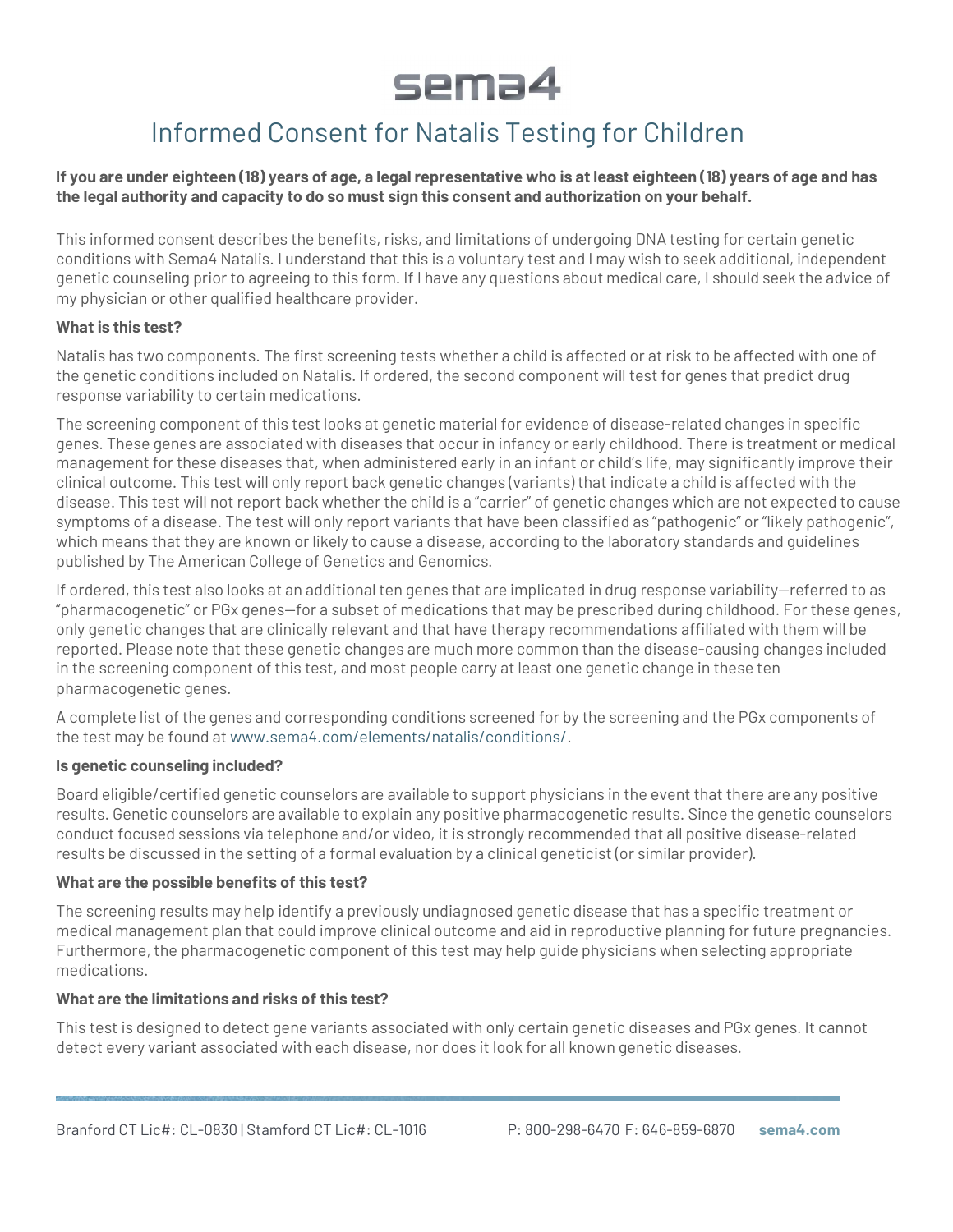

# Informed Consent for Natalis Testing for Children

# If you are under eighteen (18) years of age, a legal representative who is at least eighteen (18) years of age and has the legal authority and capacity to do so must sign this consent and authorization on your behalf.

This informed consent describes the benefits, risks, and limitations of undergoing DNA testing for certain genetic conditions with Sema4 Natalis. I understand that this is a voluntary test and I may wish to seek additional, independent genetic counseling prior to agreeing to this form. If I have any questions about medical care, I should seek the advice of my physician or other qualified healthcare provider.

# What is this test?

Natalis has two components. The first screening tests whether a child is affected or at risk to be affected with one of the genetic conditions included on Natalis. If ordered, the second component will test for genes that predict drug response variability to certain medications.

The screening component of this test looks at genetic material for evidence of disease-related changes in specific genes. These genes are associated with diseases that occur in infancy or early childhood. There is treatment or medical management for these diseases that, when administered early in an infant or child's life, may significantly improve their clinical outcome. This test will only report back genetic changes (variants) that indicate a child is affected with the disease. This test will not report back whether the child is a "carrier" of genetic changes which are not expected to cause symptoms of a disease. The test will only report variants that have been classified as "pathogenic" or "likely pathogenic", which means that they are known or likely to cause a disease, according to the laboratory standards and guidelines published by The American College of Genetics and Genomics.

If ordered, this test also looks at an additional ten genes that are implicated in drug response variability—referred to as "pharmacogenetic" or PGx genes—for a subset of medications that may be prescribed during childhood. For these genes, only genetic changes that are clinically relevant and that have therapy recommendations affiliated with them will be reported. Please note that these genetic changes are much more common than the disease-causing changes included in the screening component of this test, and most people carry at least one genetic change in these ten pharmacogenetic genes.

A complete list of the genes and corresponding conditions screened for by the screening and the PGx components of the test may be found at www.sema4.com/elements/natalis/conditions/.

## Is genetic counseling included?

Board eligible/certified genetic counselors are available to support physicians in the event that there are any positive results. Genetic counselors are available to explain any positive pharmacogenetic results. Since the genetic counselors conduct focused sessions via telephone and/or video, it is strongly recommended that all positive disease-related results be discussed in the setting of a formal evaluation by a clinical geneticist (or similar provider).

### What are the possible benefits of this test?

The screening results may help identify a previously undiagnosed genetic disease that has a specific treatment or medical management plan that could improve clinical outcome and aid in reproductive planning for future pregnancies. Furthermore, the pharmacogenetic component of this test may help guide physicians when selecting appropriate medications.

### What are the limitations and risks of this test?

This test is designed to detect gene variants associated with only certain genetic diseases and PGx genes. It cannot detect every variant associated with each disease, nor does it look for all known genetic diseases.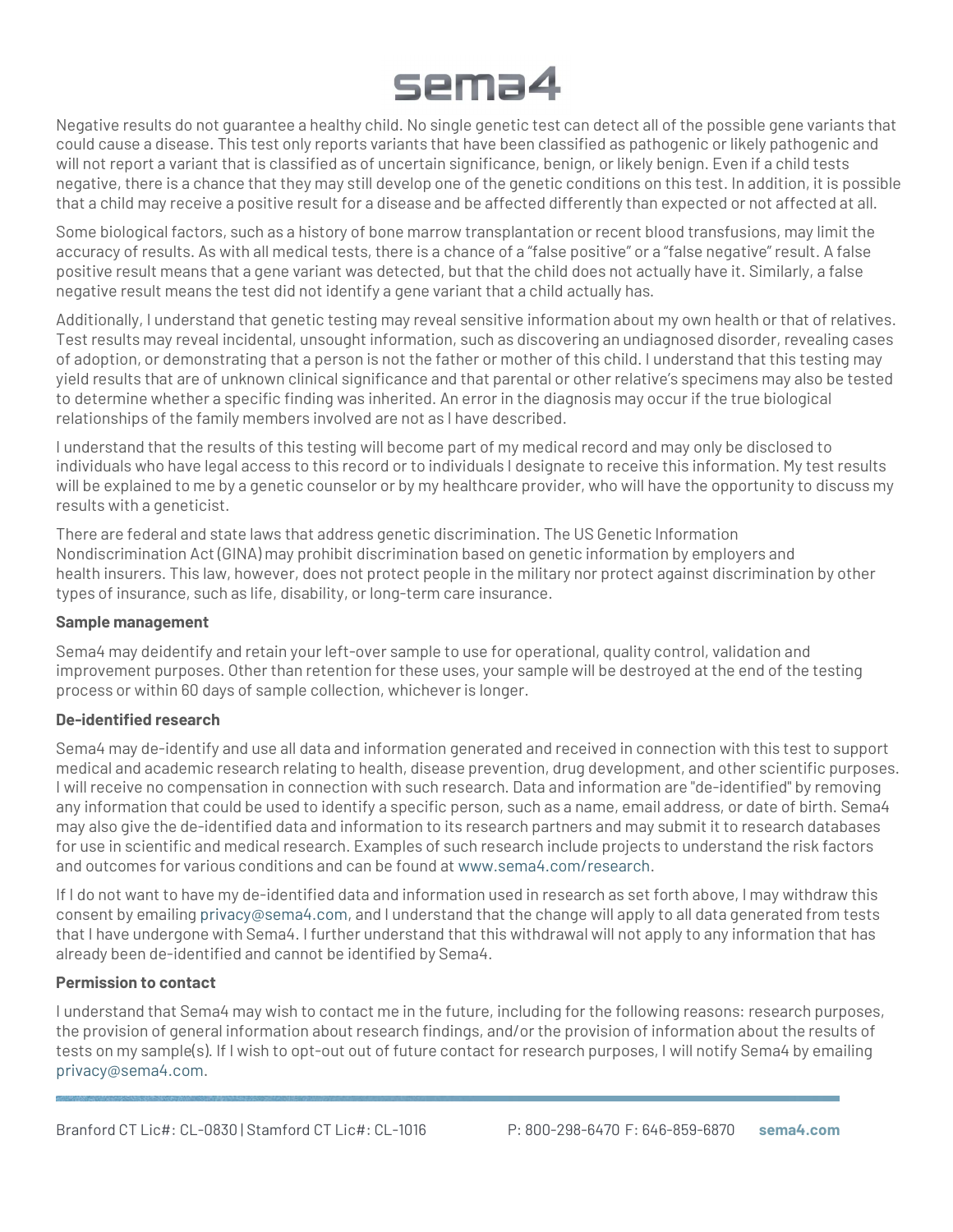

Negative results do not guarantee a healthy child. No single genetic test can detect all of the possible gene variants that could cause a disease. This test only reports variants that have been classified as pathogenic or likely pathogenic and will not report a variant that is classified as of uncertain significance, benign, or likely benign. Even if a child tests negative, there is a chance that they may still develop one of the genetic conditions on this test. In addition, it is possible that a child may receive a positive result for a disease and be affected differently than expected or not affected at all.

Some biological factors, such as a history of bone marrow transplantation or recent blood transfusions, may limit the accuracy of results. As with all medical tests, there is a chance of a "false positive" or a "false negative" result. A false positive result means that a gene variant was detected, but that the child does not actually have it. Similarly, a false negative result means the test did not identify a gene variant that a child actually has.

Additionally, I understand that genetic testing may reveal sensitive information about my own health or that of relatives. Test results may reveal incidental, unsought information, such as discovering an undiagnosed disorder, revealing cases of adoption, or demonstrating that a person is not the father or mother of this child. I understand that this testing may yield results that are of unknown clinical significance and that parental or other relative's specimens may also be tested to determine whether a specific finding was inherited. An error in the diagnosis may occur if the true biological relationships of the family members involved are not as I have described.

I understand that the results of this testing will become part of my medical record and may only be disclosed to individuals who have legal access to this record or to individuals I designate to receive this information. My test results will be explained to me by a genetic counselor or by my healthcare provider, who will have the opportunity to discuss my results with a geneticist.

There are federal and state laws that address genetic discrimination. The US Genetic Information Nondiscrimination Act (GINA) may prohibit discrimination based on genetic information by employers and health insurers. This law, however, does not protect people in the military nor protect against discrimination by other types of insurance, such as life, disability, or long-term care insurance.

## Sample management

Sema4 may deidentify and retain your left-over sample to use for operational, quality control, validation and improvement purposes. Other than retention for these uses, your sample will be destroyed at the end of the testing process or within 60 days of sample collection, whichever is longer.

### De-identified research

Sema4 may de-identify and use all data and information generated and received in connection with this test to support medical and academic research relating to health, disease prevention, drug development, and other scientific purposes. I will receive no compensation in connection with such research. Data and information are "de-identified" by removing any information that could be used to identify a specific person, such as a name, email address, or date of birth. Sema4 may also give the de-identified data and information to its research partners and may submit it to research databases for use in scientific and medical research. Examples of such research include projects to understand the risk factors and outcomes for various conditions and can be found at www.sema4.com/research.

If I do not want to have my de-identified data and information used in research as set forth above, I may withdraw this consent by emailing privacy@sema4.com, and I understand that the change will apply to all data generated from tests that I have undergone with Sema4. I further understand that this withdrawal will not apply to any information that has already been de-identified and cannot be identified by Sema4.

### Permission to contact

I understand that Sema4 may wish to contact me in the future, including for the following reasons: research purposes, the provision of general information about research findings, and/or the provision of information about the results of tests on my sample(s). If I wish to opt-out out of future contact for research purposes, I will notify Sema4 by emailing privacy@sema4.com.